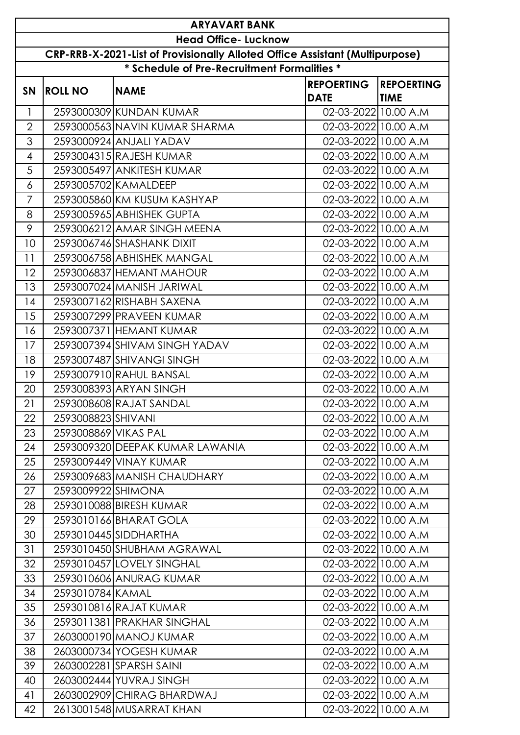|                                                                              | <b>ARYAVART BANK</b>                        |                                 |                                  |                                  |  |
|------------------------------------------------------------------------------|---------------------------------------------|---------------------------------|----------------------------------|----------------------------------|--|
| <b>Head Office- Lucknow</b>                                                  |                                             |                                 |                                  |                                  |  |
| CRP-RRB-X-2021-List of Provisionally Alloted Office Assistant (Multipurpose) |                                             |                                 |                                  |                                  |  |
|                                                                              | * Schedule of Pre-Recruitment Formalities * |                                 |                                  |                                  |  |
| <b>SN</b>                                                                    | <b>ROLL NO</b>                              | <b>NAME</b>                     | <b>REPOERTING</b><br><b>DATE</b> | <b>REPOERTING</b><br><b>TIME</b> |  |
| $\mathbf{1}$                                                                 |                                             | 2593000309 KUNDAN KUMAR         | 02-03-2022 10.00 A.M             |                                  |  |
| $\overline{2}$                                                               |                                             | 2593000563 NAVIN KUMAR SHARMA   | 02-03-2022 10.00 A.M             |                                  |  |
| 3                                                                            |                                             | 2593000924 ANJALI YADAV         | 02-03-2022 10.00 A.M             |                                  |  |
| $\overline{4}$                                                               |                                             | 2593004315 RAJESH KUMAR         | 02-03-2022 10.00 A.M             |                                  |  |
| 5                                                                            |                                             | 2593005497 ANKITESH KUMAR       | 02-03-2022 10.00 A.M             |                                  |  |
| 6                                                                            |                                             | 2593005702 KAMALDEEP            | 02-03-2022 10.00 A.M             |                                  |  |
| $\overline{7}$                                                               |                                             | 2593005860 KM KUSUM KASHYAP     | 02-03-2022 10.00 A.M             |                                  |  |
| 8                                                                            |                                             | 2593005965 ABHISHEK GUPTA       | 02-03-2022 10.00 A.M             |                                  |  |
| 9                                                                            |                                             | 2593006212LAMAR SINGH MEENA     | 02-03-2022 10.00 A.M             |                                  |  |
| 10                                                                           |                                             | 2593006746 SHASHANK DIXIT       | 02-03-2022 10.00 A.M             |                                  |  |
| 11                                                                           |                                             | 2593006758 ABHISHEK MANGAL      | 02-03-2022 10.00 A.M             |                                  |  |
| 12                                                                           |                                             | 2593006837 HEMANT MAHOUR        | 02-03-2022 10.00 A.M             |                                  |  |
| 13                                                                           |                                             | 2593007024 MANISH JARIWAL       | 02-03-2022 10.00 A.M             |                                  |  |
| 14                                                                           |                                             | 2593007162RISHABH SAXENA        | 02-03-2022 10.00 A.M             |                                  |  |
| 15                                                                           |                                             | 2593007299 PRAVEEN KUMAR        | 02-03-2022 10.00 A.M             |                                  |  |
| 16                                                                           |                                             | 2593007371 HEMANT KUMAR         | 02-03-2022 10.00 A.M             |                                  |  |
| 17                                                                           |                                             | 2593007394 SHIVAM SINGH YADAV   | 02-03-2022 10.00 A.M             |                                  |  |
| 18                                                                           |                                             | 2593007487 SHIVANGI SINGH       | 02-03-2022 10.00 A.M             |                                  |  |
| 19                                                                           |                                             | 2593007910 RAHUL BANSAL         | 02-03-2022 10.00 A.M             |                                  |  |
| 20                                                                           |                                             | 2593008393 ARYAN SINGH          | 02-03-2022 10.00 A.M             |                                  |  |
| 21                                                                           |                                             | 2593008608 RAJAT SANDAL         | 02-03-2022 10.00 A.M             |                                  |  |
| 22                                                                           | 2593008823 SHIVANI                          |                                 | 02-03-2022 10.00 A.M             |                                  |  |
| 23                                                                           | 2593008869 VIKAS PAL                        |                                 | 02-03-2022 10.00 A.M             |                                  |  |
| 24                                                                           |                                             | 2593009320 DEEPAK KUMAR LAWANIA | 02-03-2022 10.00 A.M             |                                  |  |
| 25                                                                           |                                             | 2593009449 VINAY KUMAR          | 02-03-2022 10.00 A.M             |                                  |  |
| 26                                                                           |                                             | 2593009683 MANISH CHAUDHARY     | 02-03-2022 10.00 A.M             |                                  |  |
| 27                                                                           | 2593009922 SHIMONA                          |                                 | 02-03-2022 10.00 A.M             |                                  |  |
| 28                                                                           |                                             | 2593010088 BIRESH KUMAR         | 02-03-2022 10.00 A.M             |                                  |  |
| 29                                                                           |                                             | 2593010166 BHARAT GOLA          | 02-03-2022 10.00 A.M             |                                  |  |
| 30                                                                           |                                             | 2593010445 SIDDHARTHA           | 02-03-2022 10.00 A.M             |                                  |  |
| 31                                                                           |                                             | 2593010450 SHUBHAM AGRAWAL      | 02-03-2022 10.00 A.M             |                                  |  |
| 32                                                                           |                                             | 2593010457LOVELY SINGHAL        | 02-03-2022 10.00 A.M             |                                  |  |
| 33                                                                           |                                             | 2593010606 ANURAG KUMAR         | 02-03-2022 10.00 A.M             |                                  |  |
| 34                                                                           | 2593010784 KAMAL                            |                                 | 02-03-2022 10.00 A.M             |                                  |  |
| 35                                                                           |                                             | 2593010816 RAJAT KUMAR          | 02-03-2022 10.00 A.M             |                                  |  |
| 36                                                                           |                                             | 2593011381 PRAKHAR SINGHAL      | 02-03-2022 10.00 A.M             |                                  |  |
| 37                                                                           |                                             | 2603000190 MANOJ KUMAR          | 02-03-2022 10.00 A.M             |                                  |  |
| 38                                                                           |                                             | 2603000734 YOGESH KUMAR         | 02-03-2022 10.00 A.M             |                                  |  |
| 39                                                                           |                                             | 2603002281 SPARSH SAINI         | 02-03-2022 10.00 A.M             |                                  |  |
| 40                                                                           |                                             | 2603002444 YUVRAJ SINGH         | 02-03-2022 10.00 A.M             |                                  |  |
| 41                                                                           |                                             | 2603002909 CHIRAG BHARDWAJ      | 02-03-2022 10.00 A.M             |                                  |  |
| 42                                                                           |                                             | 2613001548 MUSARRAT KHAN        | 02-03-2022 10.00 A.M             |                                  |  |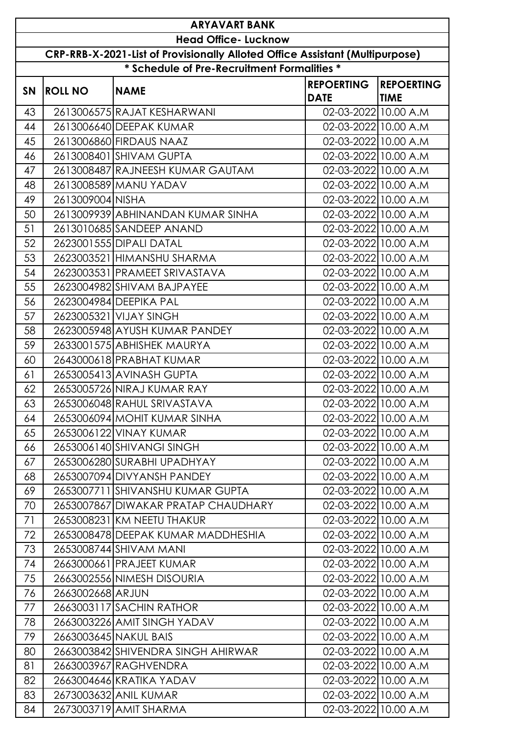|                                                                                     | <b>ARYAVART BANK</b>        |                                             |                                  |                                  |
|-------------------------------------------------------------------------------------|-----------------------------|---------------------------------------------|----------------------------------|----------------------------------|
|                                                                                     | <b>Head Office- Lucknow</b> |                                             |                                  |                                  |
| <b>CRP-RRB-X-2021-List of Provisionally Alloted Office Assistant (Multipurpose)</b> |                             |                                             |                                  |                                  |
|                                                                                     |                             | * Schedule of Pre-Recruitment Formalities * |                                  |                                  |
| <b>SN</b>                                                                           | <b>ROLL NO</b>              | <b>NAME</b>                                 | <b>REPOERTING</b><br><b>DATE</b> | <b>REPOERTING</b><br><b>TIME</b> |
| 43                                                                                  |                             | 2613006575 RAJAT KESHARWANI                 | 02-03-2022 10.00 A.M             |                                  |
| 44                                                                                  |                             | 2613006640 DEEPAK KUMAR                     | 02-03-2022 10.00 A.M             |                                  |
| 45                                                                                  |                             | 2613006860 FIRDAUS NAAZ                     | 02-03-2022 10.00 A.M             |                                  |
| 46                                                                                  |                             | 2613008401 SHIVAM GUPTA                     | 02-03-2022 10.00 A.M             |                                  |
| 47                                                                                  |                             | 2613008487 RAJNEESH KUMAR GAUTAM            | 02-03-2022 10.00 A.M             |                                  |
| 48                                                                                  |                             | 2613008589 MANU YADAV                       | 02-03-2022 10.00 A.M             |                                  |
| 49                                                                                  | 2613009004 NISHA            |                                             | 02-03-2022 10.00 A.M             |                                  |
| 50                                                                                  |                             | 2613009939 ABHINANDAN KUMAR SINHA           | 02-03-2022 10.00 A.M             |                                  |
| 51                                                                                  |                             | 2613010685 SANDEEP ANAND                    | 02-03-2022 10.00 A.M             |                                  |
| 52                                                                                  |                             | 2623001555 DIPALI DATAL                     | 02-03-2022 10.00 A.M             |                                  |
| 53                                                                                  |                             | 2623003521 HIMANSHU SHARMA                  | 02-03-2022 10.00 A.M             |                                  |
| 54                                                                                  |                             | 2623003531 PRAMEET SRIVASTAVA               | 02-03-2022 10.00 A.M             |                                  |
| 55                                                                                  |                             | 2623004982 SHIVAM BAJPAYEE                  | 02-03-2022 10.00 A.M             |                                  |
| 56                                                                                  |                             | 2623004984 DEEPIKA PAL                      | 02-03-2022 10.00 A.M             |                                  |
| 57                                                                                  |                             | 2623005321 VIJAY SINGH                      | 02-03-2022 10.00 A.M             |                                  |
| 58                                                                                  |                             | 2623005948 AYUSH KUMAR PANDEY               | 02-03-2022 10.00 A.M             |                                  |
| 59                                                                                  |                             | 2633001575 ABHISHEK MAURYA                  | 02-03-2022 10.00 A.M             |                                  |
| 60                                                                                  |                             | 2643000618 PRABHAT KUMAR                    | 02-03-2022 10.00 A.M             |                                  |
| 61                                                                                  |                             | 2653005413 AVINASH GUPTA                    | 02-03-2022 10.00 A.M             |                                  |
| 62                                                                                  |                             | 2653005726 NIRAJ KUMAR RAY                  | 02-03-2022 10.00 A.M             |                                  |
| 63                                                                                  |                             | 2653006048 RAHUL SRIVASTAVA                 | 02-03-2022 10.00 A.M             |                                  |
| 64                                                                                  |                             | 2653006094 MOHIT KUMAR SINHA                | 02-03-2022 10.00 A.M             |                                  |
| 65                                                                                  |                             | 2653006122 VINAY KUMAR                      | 02-03-2022 10.00 A.M             |                                  |
| 66                                                                                  |                             | 2653006140 SHIVANGI SINGH                   | 02-03-2022 10.00 A.M             |                                  |
| 67                                                                                  |                             | 2653006280 SURABHI UPADHYAY                 | 02-03-2022 10.00 A.M             |                                  |
| 68                                                                                  |                             | 2653007094 DIVYANSH PANDEY                  | 02-03-2022 10.00 A.M             |                                  |
| 69                                                                                  |                             | 2653007711 SHIVANSHU KUMAR GUPTA            | 02-03-2022 10.00 A.M             |                                  |
| 70                                                                                  |                             | 2653007867 DIWAKAR PRATAP CHAUDHARY         | 02-03-2022 10.00 A.M             |                                  |
| 71                                                                                  |                             | 2653008231 KM NEETU THAKUR                  | 02-03-2022 10.00 A.M             |                                  |
| 72                                                                                  |                             | 2653008478 DEEPAK KUMAR MADDHESHIA          | 02-03-2022 10.00 A.M             |                                  |
| 73                                                                                  |                             | 2653008744 SHIVAM MANI                      | 02-03-2022 10.00 A.M             |                                  |
| 74                                                                                  |                             | 2663000661 PRAJEET KUMAR                    | 02-03-2022 10.00 A.M             |                                  |
| 75                                                                                  |                             | 2663002556 NIMESH DISOURIA                  | 02-03-2022 10.00 A.M             |                                  |
| 76                                                                                  | 2663002668 ARJUN            |                                             | 02-03-2022 10.00 A.M             |                                  |
| 77                                                                                  |                             | 2663003117 SACHIN RATHOR                    | 02-03-2022 10.00 A.M             |                                  |
| 78                                                                                  |                             | 2663003226 AMIT SINGH YADAV                 | 02-03-2022 10.00 A.M             |                                  |
| 79                                                                                  |                             | 2663003645 NAKUL BAIS                       | 02-03-2022 10.00 A.M             |                                  |
| 80                                                                                  |                             | 2663003842 SHIVENDRA SINGH AHIRWAR          | 02-03-2022 10.00 A.M             |                                  |
| 81                                                                                  |                             | 2663003967 RAGHVENDRA                       | 02-03-2022 10.00 A.M             |                                  |
| 82                                                                                  |                             | 2663004646 KRATIKA YADAV                    | 02-03-2022 10.00 A.M             |                                  |
| 83                                                                                  |                             | 2673003632 ANIL KUMAR                       | 02-03-2022 10.00 A.M             |                                  |
| 84                                                                                  |                             | 2673003719 AMIT SHARMA                      | 02-03-2022 10.00 A.M             |                                  |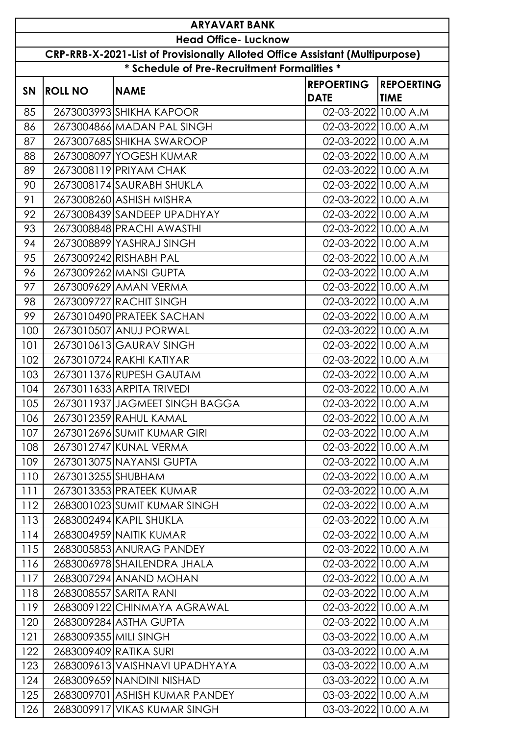|                                                                              | <b>ARYAVART BANK</b>        |                                             |                                  |                                  |
|------------------------------------------------------------------------------|-----------------------------|---------------------------------------------|----------------------------------|----------------------------------|
|                                                                              | <b>Head Office- Lucknow</b> |                                             |                                  |                                  |
| CRP-RRB-X-2021-List of Provisionally Alloted Office Assistant (Multipurpose) |                             |                                             |                                  |                                  |
|                                                                              |                             | * Schedule of Pre-Recruitment Formalities * |                                  |                                  |
| <b>SN</b>                                                                    | <b>ROLL NO</b>              | <b>NAME</b>                                 | <b>REPOERTING</b><br><b>DATE</b> | <b>REPOERTING</b><br><b>TIME</b> |
| 85                                                                           |                             | 2673003993 SHIKHA KAPOOR                    | 02-03-2022 10.00 A.M             |                                  |
| 86                                                                           |                             | 2673004866 MADAN PAL SINGH                  | 02-03-2022 10.00 A.M             |                                  |
| 87                                                                           |                             | 2673007685 SHIKHA SWAROOP                   | 02-03-2022 10.00 A.M             |                                  |
| 88                                                                           |                             | 2673008097 YOGESH KUMAR                     | 02-03-2022 10.00 A.M             |                                  |
| 89                                                                           |                             | 2673008119 PRIYAM CHAK                      | 02-03-2022 10.00 A.M             |                                  |
| 90                                                                           |                             | 2673008174 SAURABH SHUKLA                   | 02-03-2022 10.00 A.M             |                                  |
| 91                                                                           |                             | 2673008260 ASHISH MISHRA                    | 02-03-2022 10.00 A.M             |                                  |
| 92                                                                           |                             | 2673008439 SANDEEP UPADHYAY                 | 02-03-2022 10.00 A.M             |                                  |
| 93                                                                           |                             | 2673008848 PRACHI AWASTHI                   | 02-03-2022 10.00 A.M             |                                  |
| 94                                                                           |                             | 2673008899 YASHRAJ SINGH                    | 02-03-2022 10.00 A.M             |                                  |
| 95                                                                           |                             | 2673009242 RISHABH PAL                      | 02-03-2022 10.00 A.M             |                                  |
| 96                                                                           |                             | 2673009262 MANSI GUPTA                      | 02-03-2022 10.00 A.M             |                                  |
| 97                                                                           |                             | 2673009629 AMAN VERMA                       | 02-03-2022 10.00 A.M             |                                  |
| 98                                                                           |                             | 2673009727 RACHIT SINGH                     | 02-03-2022 10.00 A.M             |                                  |
| 99                                                                           |                             | 2673010490 PRATEEK SACHAN                   | 02-03-2022 10.00 A.M             |                                  |
| 100                                                                          |                             | 2673010507 ANUJ PORWAL                      | 02-03-2022 10.00 A.M             |                                  |
| 101                                                                          |                             | 2673010613GAURAV SINGH                      | 02-03-2022 10.00 A.M             |                                  |
| 102                                                                          |                             | 2673010724 RAKHI KATIYAR                    | 02-03-2022 10.00 A.M             |                                  |
| 103                                                                          |                             | 2673011376 RUPESH GAUTAM                    | 02-03-2022 10.00 A.M             |                                  |
| 104                                                                          |                             | 2673011633 ARPITA TRIVEDI                   | 02-03-2022 10.00 A.M             |                                  |
| 105                                                                          |                             | 2673011937 JAGMEET SINGH BAGGA              | 02-03-2022 10.00 A.M             |                                  |
| 106                                                                          |                             | 2673012359 RAHUL KAMAL                      | 02-03-2022 10.00 A.M             |                                  |
| 107                                                                          |                             | 2673012696 SUMIT KUMAR GIRI                 | 02-03-2022 10.00 A.M             |                                  |
| 108                                                                          |                             | 2673012747 KUNAL VERMA                      | 02-03-2022 10.00 A.M             |                                  |
| 109                                                                          |                             | 2673013075 NAYANSI GUPTA                    | 02-03-2022 10.00 A.M             |                                  |
| 110                                                                          | 2673013255 SHUBHAM          |                                             | 02-03-2022 10.00 A.M             |                                  |
| 111                                                                          |                             | 2673013353 PRATEEK KUMAR                    | 02-03-2022 10.00 A.M             |                                  |
| 112                                                                          |                             | 2683001023 SUMIT KUMAR SINGH                | 02-03-2022 10.00 A.M             |                                  |
| 113                                                                          |                             | 2683002494 KAPIL SHUKLA                     | 02-03-2022 10.00 A.M             |                                  |
| 114                                                                          |                             | 2683004959 NAITIK KUMAR                     | 02-03-2022 10.00 A.M             |                                  |
| 115                                                                          |                             | 2683005853 ANURAG PANDEY                    | 02-03-2022 10.00 A.M             |                                  |
| 116                                                                          |                             | 2683006978 SHAILENDRA JHALA                 | 02-03-2022 10.00 A.M             |                                  |
| 117                                                                          |                             | 2683007294 ANAND MOHAN                      | 02-03-2022 10.00 A.M             |                                  |
| 118                                                                          |                             | 2683008557 SARITA RANI                      | 02-03-2022 10.00 A.M             |                                  |
| 119                                                                          |                             | 2683009122 CHINMAYA AGRAWAL                 | 02-03-2022 10.00 A.M             |                                  |
| 120                                                                          |                             | 2683009284 ASTHA GUPTA                      | 02-03-2022 10.00 A.M             |                                  |
| 121                                                                          | 2683009355 MILI SINGH       |                                             | 03-03-2022 10.00 A.M             |                                  |
| 122                                                                          |                             | 2683009409 RATIKA SURI                      | 03-03-2022 10.00 A.M             |                                  |
| 123                                                                          |                             | 2683009613 VAISHNAVI UPADHYAYA              | 03-03-2022 10.00 A.M             |                                  |
| 124                                                                          |                             | 2683009659 NANDINI NISHAD                   | 03-03-2022 10.00 A.M             |                                  |
| 125                                                                          |                             | 2683009701 ASHISH KUMAR PANDEY              | 03-03-2022 10.00 A.M             |                                  |
| 126                                                                          |                             | 2683009917 VIKAS KUMAR SINGH                | 03-03-2022 10.00 A.M             |                                  |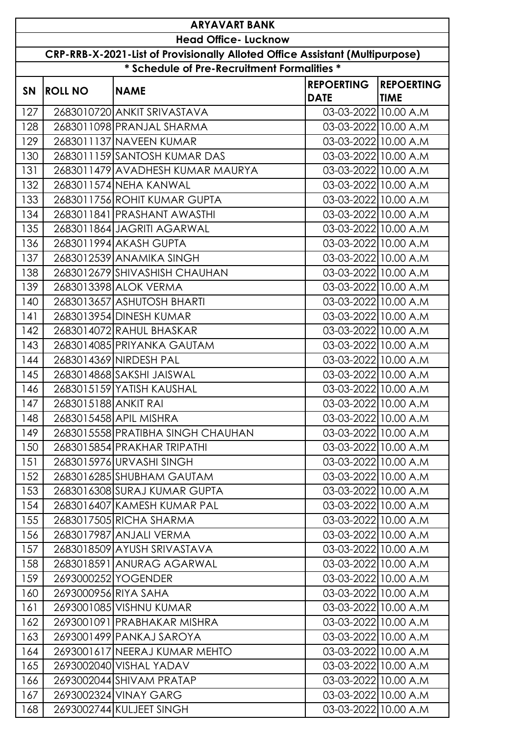|                                                                              | <b>ARYAVART BANK</b>                        |                                   |                                  |                                  |  |
|------------------------------------------------------------------------------|---------------------------------------------|-----------------------------------|----------------------------------|----------------------------------|--|
| <b>Head Office- Lucknow</b>                                                  |                                             |                                   |                                  |                                  |  |
| CRP-RRB-X-2021-List of Provisionally Alloted Office Assistant (Multipurpose) |                                             |                                   |                                  |                                  |  |
|                                                                              | * Schedule of Pre-Recruitment Formalities * |                                   |                                  |                                  |  |
| <b>SN</b>                                                                    | <b>ROLL NO</b>                              | <b>NAME</b>                       | <b>REPOERTING</b><br><b>DATE</b> | <b>REPOERTING</b><br><b>TIME</b> |  |
| 127                                                                          |                                             | 2683010720 ANKIT SRIVASTAVA       | 03-03-2022 10.00 A.M             |                                  |  |
| 128                                                                          |                                             | 2683011098 PRANJAL SHARMA         | 03-03-2022 10.00 A.M             |                                  |  |
| 129                                                                          |                                             | 2683011137 NAVEEN KUMAR           | 03-03-2022 10.00 A.M             |                                  |  |
| 130                                                                          |                                             | 2683011159 SANTOSH KUMAR DAS      | 03-03-2022 10.00 A.M             |                                  |  |
| 131                                                                          |                                             | 2683011479 AVADHESH KUMAR MAURYA  | 03-03-2022 10.00 A.M             |                                  |  |
| 132                                                                          |                                             | 2683011574 NEHA KANWAL            | 03-03-2022 10.00 A.M             |                                  |  |
| 133                                                                          |                                             | 2683011756 ROHIT KUMAR GUPTA      | 03-03-2022 10.00 A.M             |                                  |  |
| 134                                                                          |                                             | 2683011841 PRASHANT AWASTHI       | 03-03-2022 10.00 A.M             |                                  |  |
| 135                                                                          |                                             | 2683011864 JAGRITI AGARWAL        | 03-03-2022 10.00 A.M             |                                  |  |
| 136                                                                          |                                             | 2683011994 AKASH GUPTA            | 03-03-2022 10.00 A.M             |                                  |  |
| 137                                                                          |                                             | 2683012539 ANAMIKA SINGH          | 03-03-2022 10.00 A.M             |                                  |  |
| 138                                                                          |                                             | 2683012679 SHIVASHISH CHAUHAN     | 03-03-2022 10.00 A.M             |                                  |  |
| 139                                                                          |                                             | 2683013398 ALOK VERMA             | 03-03-2022 10.00 A.M             |                                  |  |
| 140                                                                          |                                             | 2683013657 ASHUTOSH BHARTI        | 03-03-2022 10.00 A.M             |                                  |  |
| 141                                                                          |                                             | 2683013954 DINESH KUMAR           | 03-03-2022 10.00 A.M             |                                  |  |
| 142                                                                          |                                             | 2683014072 RAHUL BHASKAR          | 03-03-2022 10.00 A.M             |                                  |  |
| 143                                                                          |                                             | 2683014085 PRIYANKA GAUTAM        | 03-03-2022 10.00 A.M             |                                  |  |
| 144                                                                          |                                             | 2683014369 NIRDESH PAL            | 03-03-2022 10.00 A.M             |                                  |  |
| 145                                                                          |                                             | 2683014868 SAKSHI JAISWAL         | 03-03-2022 10.00 A.M             |                                  |  |
| 146                                                                          |                                             | 2683015159 YATISH KAUSHAL         | 03-03-2022 10.00 A.M             |                                  |  |
| 147                                                                          | 2683015188 ANKIT RAI                        |                                   | 03-03-2022 10.00 A.M             |                                  |  |
| 148                                                                          |                                             | 2683015458 APIL MISHRA            | 03-03-2022 10.00 A.M             |                                  |  |
| 149                                                                          |                                             | 2683015558 PRATIBHA SINGH CHAUHAN | 03-03-2022 10.00 A.M             |                                  |  |
| 150                                                                          |                                             | 2683015854 PRAKHAR TRIPATHI       | 03-03-2022 10.00 A.M             |                                  |  |
| 151                                                                          |                                             | 2683015976URVASHI SINGH           | 03-03-2022 10.00 A.M             |                                  |  |
| 152                                                                          |                                             | 2683016285 SHUBHAM GAUTAM         | 03-03-2022 10.00 A.M             |                                  |  |
| 153                                                                          |                                             | 2683016308 SURAJ KUMAR GUPTA      | 03-03-2022 10.00 A.M             |                                  |  |
| 154                                                                          |                                             | 2683016407 KAMESH KUMAR PAL       | 03-03-2022 10.00 A.M             |                                  |  |
| 155                                                                          |                                             | 2683017505 RICHA SHARMA           | 03-03-2022 10.00 A.M             |                                  |  |
| 156                                                                          |                                             | 2683017987 ANJALI VERMA           | 03-03-2022 10.00 A.M             |                                  |  |
| 157                                                                          |                                             | 2683018509 AYUSH SRIVASTAVA       | 03-03-2022 10.00 A.M             |                                  |  |
| 158                                                                          |                                             | 2683018591 ANURAG AGARWAL         | 03-03-2022 10.00 A.M             |                                  |  |
| 159                                                                          |                                             | 2693000252 YOGENDER               | 03-03-2022 10.00 A.M             |                                  |  |
| 160                                                                          | 2693000956 RIYA SAHA                        |                                   | 03-03-2022 10.00 A.M             |                                  |  |
| 161                                                                          |                                             | 2693001085 VISHNU KUMAR           | 03-03-2022 10.00 A.M             |                                  |  |
| 162                                                                          |                                             | 2693001091 PRABHAKAR MISHRA       | 03-03-2022 10.00 A.M             |                                  |  |
| 163                                                                          |                                             | 2693001499 PANKAJ SAROYA          | 03-03-2022 10.00 A.M             |                                  |  |
| 164                                                                          |                                             | 2693001617 NEERAJ KUMAR MEHTO     | 03-03-2022 10.00 A.M             |                                  |  |
| 165                                                                          |                                             | 2693002040 VISHAL YADAV           | 03-03-2022 10.00 A.M             |                                  |  |
| 166                                                                          |                                             | 2693002044 SHIVAM PRATAP          | 03-03-2022 10.00 A.M             |                                  |  |
| 167                                                                          |                                             | 2693002324 VINAY GARG             | 03-03-2022 10.00 A.M             |                                  |  |
| 168                                                                          |                                             | 2693002744 KULJEET SINGH          | 03-03-2022 10.00 A.M             |                                  |  |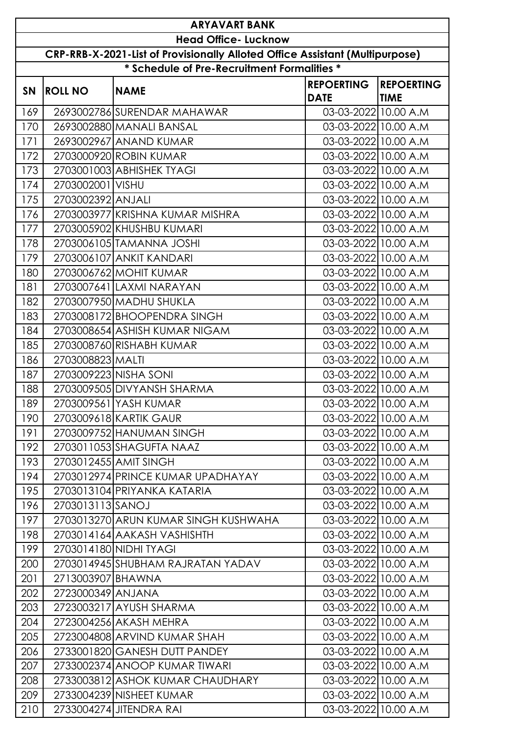| <b>ARYAVART BANK</b>                                                                |                                             |                                      |                                  |                                  |  |
|-------------------------------------------------------------------------------------|---------------------------------------------|--------------------------------------|----------------------------------|----------------------------------|--|
|                                                                                     | <b>Head Office- Lucknow</b>                 |                                      |                                  |                                  |  |
| <b>CRP-RRB-X-2021-List of Provisionally Alloted Office Assistant (Multipurpose)</b> |                                             |                                      |                                  |                                  |  |
|                                                                                     | * Schedule of Pre-Recruitment Formalities * |                                      |                                  |                                  |  |
| <b>SN</b>                                                                           | <b>ROLL NO</b>                              | <b>NAME</b>                          | <b>REPOERTING</b><br><b>DATE</b> | <b>REPOERTING</b><br><b>TIME</b> |  |
| 169                                                                                 |                                             | 2693002786 SURENDAR MAHAWAR          | 03-03-2022 10.00 A.M             |                                  |  |
| 170                                                                                 |                                             | 2693002880 MANALI BANSAL             | 03-03-2022 10.00 A.M             |                                  |  |
| 171                                                                                 |                                             | 2693002967 ANAND KUMAR               | 03-03-2022 10.00 A.M             |                                  |  |
| 172                                                                                 |                                             | 2703000920 ROBIN KUMAR               | 03-03-2022 10.00 A.M             |                                  |  |
| 173                                                                                 |                                             | 2703001003 ABHISHEK TYAGI            | 03-03-2022 10.00 A.M             |                                  |  |
| 174                                                                                 | 2703002001 VISHU                            |                                      | 03-03-2022 10.00 A.M             |                                  |  |
| 175                                                                                 | 2703002392 ANJALI                           |                                      | 03-03-2022 10.00 A.M             |                                  |  |
| 176                                                                                 |                                             | 2703003977 KRISHNA KUMAR MISHRA      | 03-03-2022 10.00 A.M             |                                  |  |
| 177                                                                                 |                                             | 2703005902 KHUSHBU KUMARI            | 03-03-2022 10.00 A.M             |                                  |  |
| 178                                                                                 |                                             | 2703006105 TAMANNA JOSHI             | 03-03-2022 10.00 A.M             |                                  |  |
| 179                                                                                 |                                             | 2703006107 ANKIT KANDARI             | 03-03-2022 10.00 A.M             |                                  |  |
| 180                                                                                 |                                             | 2703006762 MOHIT KUMAR               | 03-03-2022 10.00 A.M             |                                  |  |
| 181                                                                                 |                                             | 2703007641 LAXMI NARAYAN             | 03-03-2022 10.00 A.M             |                                  |  |
| 182                                                                                 |                                             | 2703007950 MADHU SHUKLA              | 03-03-2022 10.00 A.M             |                                  |  |
| 183                                                                                 |                                             | 2703008172BHOOPENDRA SINGH           | 03-03-2022 10.00 A.M             |                                  |  |
| 184                                                                                 |                                             | 2703008654 ASHISH KUMAR NIGAM        | 03-03-2022 10.00 A.M             |                                  |  |
| 185                                                                                 |                                             | 2703008760 RISHABH KUMAR             | 03-03-2022 10.00 A.M             |                                  |  |
| 186                                                                                 | 2703008823 MALTI                            |                                      | 03-03-2022 10.00 A.M             |                                  |  |
| 187                                                                                 |                                             | 2703009223 NISHA SONI                | 03-03-2022 10.00 A.M             |                                  |  |
| 188                                                                                 |                                             | 2703009505 DIVYANSH SHARMA           | 03-03-2022 10.00 A.M             |                                  |  |
| 189                                                                                 |                                             | 2703009561 YASH KUMAR                | 03-03-2022 10.00 A.M             |                                  |  |
| 190                                                                                 |                                             | 2703009618 KARTIK GAUR               | 03-03-2022 10.00 A.M             |                                  |  |
| 191                                                                                 |                                             | 2703009752 HANUMAN SINGH             | 03-03-2022 10.00 A.M             |                                  |  |
| 192                                                                                 |                                             | 2703011053 SHAGUFTA NAAZ             | 03-03-2022 10.00 A.M             |                                  |  |
| 193                                                                                 |                                             | 2703012455 AMIT SINGH                | 03-03-2022 10.00 A.M             |                                  |  |
| 194                                                                                 |                                             | 2703012974 PRINCE KUMAR UPADHAYAY    | 03-03-2022 10.00 A.M             |                                  |  |
| 195                                                                                 |                                             | 2703013104 PRIYANKA KATARIA          | 03-03-2022 10.00 A.M             |                                  |  |
| 196                                                                                 | 2703013113 SANOJ                            |                                      | 03-03-2022 10.00 A.M             |                                  |  |
| 197                                                                                 |                                             | 2703013270 ARUN KUMAR SINGH KUSHWAHA | 03-03-2022 10.00 A.M             |                                  |  |
| 198                                                                                 |                                             | 2703014164 AAKASH VASHISHTH          | 03-03-2022 10.00 A.M             |                                  |  |
| 199                                                                                 |                                             | 2703014180 NIDHI TYAGI               | 03-03-2022 10.00 A.M             |                                  |  |
| 200                                                                                 |                                             | 2703014945 SHUBHAM RAJRATAN YADAV    | 03-03-2022 10.00 A.M             |                                  |  |
| 201                                                                                 | 2713003907 BHAWNA                           |                                      | 03-03-2022 10.00 A.M             |                                  |  |
| 202                                                                                 | 2723000349 ANJANA                           |                                      | 03-03-2022 10.00 A.M             |                                  |  |
| 203                                                                                 |                                             | 2723003217 AYUSH SHARMA              | 03-03-2022 10.00 A.M             |                                  |  |
| 204                                                                                 |                                             | 2723004256 AKASH MEHRA               | 03-03-2022 10.00 A.M             |                                  |  |
| 205                                                                                 |                                             | 2723004808 ARVIND KUMAR SHAH         | 03-03-2022 10.00 A.M             |                                  |  |
| 206                                                                                 |                                             | 2733001820 GANESH DUTT PANDEY        | 03-03-2022 10.00 A.M             |                                  |  |
| 207                                                                                 |                                             | 2733002374 ANOOP KUMAR TIWARI        | 03-03-2022 10.00 A.M             |                                  |  |
| 208                                                                                 |                                             | 2733003812 ASHOK KUMAR CHAUDHARY     | 03-03-2022 10.00 A.M             |                                  |  |
| 209                                                                                 |                                             | 2733004239 NISHEET KUMAR             | 03-03-2022 10.00 A.M             |                                  |  |
| 210                                                                                 |                                             | 2733004274 JITENDRA RAI              | 03-03-2022 10.00 A.M             |                                  |  |